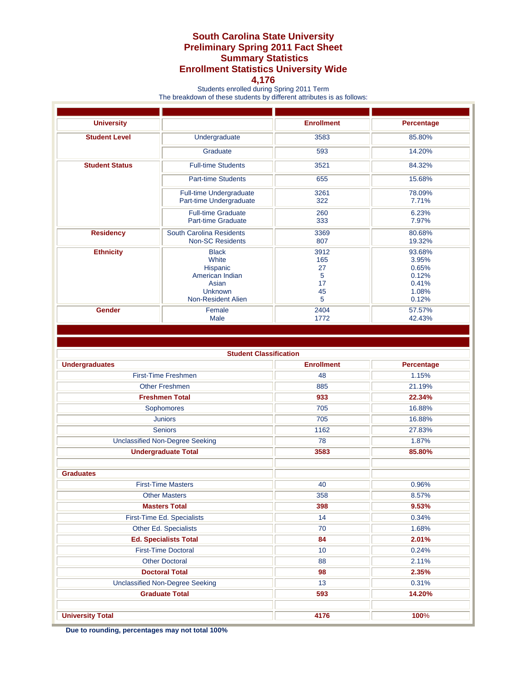## **South Carolina State University Preliminary Spring 2011 Fact Sheet Summary Statistics Enrollment Statistics University Wide**

## **4,176**

Students enrolled during Spring 2011 Term

The breakdown of these students by different attributes is as follows:

| <b>University</b>     |                                | <b>Enrollment</b> | Percentage |
|-----------------------|--------------------------------|-------------------|------------|
| <b>Student Level</b>  | Undergraduate                  | 3583              | 85.80%     |
|                       | Graduate                       | 593               | 14.20%     |
| <b>Student Status</b> | <b>Full-time Students</b>      | 3521              | 84.32%     |
|                       | <b>Part-time Students</b>      | 655               | 15.68%     |
|                       | <b>Full-time Undergraduate</b> | 3261              | 78.09%     |
|                       | Part-time Undergraduate        | 322               | 7.71%      |
|                       | <b>Full-time Graduate</b>      | 260               | 6.23%      |
|                       | Part-time Graduate             | 333               | 7.97%      |
| <b>Residency</b>      | South Carolina Residents       | 3369              | 80.68%     |
|                       | <b>Non-SC Residents</b>        | 807               | 19.32%     |
| <b>Ethnicity</b>      | <b>Black</b>                   | 3912              | 93.68%     |
|                       | White                          | 165               | 3.95%      |
|                       | Hispanic                       | 27                | 0.65%      |
|                       | American Indian                | 5                 | 0.12%      |
|                       | Asian                          | 17                | 0.41%      |
|                       | <b>Unknown</b>                 | 45                | 1.08%      |
|                       | Non-Resident Alien             | 5                 | 0.12%      |
| <b>Gender</b>         | Female                         | 2404              | 57.57%     |
|                       | <b>Male</b>                    | 1772              | 42.43%     |
|                       |                                |                   |            |

| <b>Student Classification</b>          |                   |            |  |  |
|----------------------------------------|-------------------|------------|--|--|
| <b>Undergraduates</b>                  | <b>Enrollment</b> | Percentage |  |  |
| First-Time Freshmen                    | 48                | 1.15%      |  |  |
| <b>Other Freshmen</b>                  | 885               | 21.19%     |  |  |
| <b>Freshmen Total</b>                  | 933               | 22.34%     |  |  |
| Sophomores                             | 705               | 16.88%     |  |  |
| <b>Juniors</b>                         | 705               | 16.88%     |  |  |
| <b>Seniors</b>                         | 1162              | 27.83%     |  |  |
| <b>Unclassified Non-Degree Seeking</b> | 78                | 1.87%      |  |  |
| <b>Undergraduate Total</b>             | 3583              | 85.80%     |  |  |
|                                        |                   |            |  |  |
| <b>Graduates</b>                       |                   |            |  |  |
| <b>First-Time Masters</b>              | 40                | 0.96%      |  |  |
| <b>Other Masters</b>                   | 358               | 8.57%      |  |  |
| <b>Masters Total</b>                   | 398               | 9.53%      |  |  |
| First-Time Ed. Specialists             | 14                | 0.34%      |  |  |
| Other Ed. Specialists                  | 70                | 1.68%      |  |  |
| <b>Ed. Specialists Total</b>           | 84                | 2.01%      |  |  |
| <b>First-Time Doctoral</b>             | 10                | 0.24%      |  |  |
| <b>Other Doctoral</b>                  | 88                | 2.11%      |  |  |
| <b>Doctoral Total</b>                  | 98                | 2.35%      |  |  |
| <b>Unclassified Non-Degree Seeking</b> | 13                | 0.31%      |  |  |
| <b>Graduate Total</b>                  | 593               | 14.20%     |  |  |
|                                        |                   |            |  |  |
| <b>University Total</b>                | 4176              | 100%       |  |  |

**Due to rounding, percentages may not total 100%**